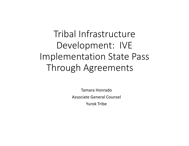Tribal Infrastructure Development: IVE Implementation State Pass Through Agreements

> Tamara Honrado Associate General Counsel Yurok Tribe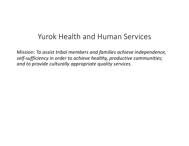## Yurok Health and Human Services

Mission: *To assist tribal members and families achieve independence, self-sufficiency in order to achieve healthy, productive communities; and to provide culturally appropriate quality services.*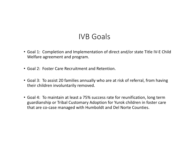## IVB Goals

- Goal 1: Completion and Implementation of direct and/or state Title IV-E Child Welfare agreement and program.
- Goal 2: Foster Care Recruitment and Retention.
- Goal 3: To assist 20 families annually who are at risk of referral, from having their children involuntarily removed.
- Goal 4: To maintain at least a 75% success rate for reunification, long term guardianship or Tribal Customary Adoption for Yurok children in foster care that are co-case managed with Humboldt and Del Norte Counties.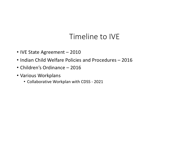# Timeline to IVE

- IVE State Agreement 2010
- Indian Child Welfare Policies and Procedures 2016
- Children's Ordinance 2016
- Various Workplans
	- Collaborative Workplan with CDSS 2021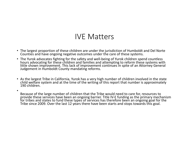#### IVE Matters

- The largest proportion of these children are under the jurisdiction of Humboldt and Del Norte Counties and have ongoing negative outcomes under the care of these systems.
- The Yurok advocates fighting for the safety and well-being of Yurok children spend countless hours advocating for these children and families and attempting to reform these systems with little shown improvement. This lack of improvement continues in spite of an Attorney General Judgement in Humboldt County mandating reforms.
- As the largest Tribe in California, Yurok has a very high number of children involved in the state child welfare system and at the time of the writing of this report that number is approximately 190 children.
- Because of the large number of children that the Tribe would need to care for, resources to provide these services have been an ongoing barrier. Title IV-E funding as the primary mechanism for tribes and states to fund these types of services has therefore been an ongoing goal for the Tribe since 2009. Over the last 12 years there have been starts and stops towards this goal.